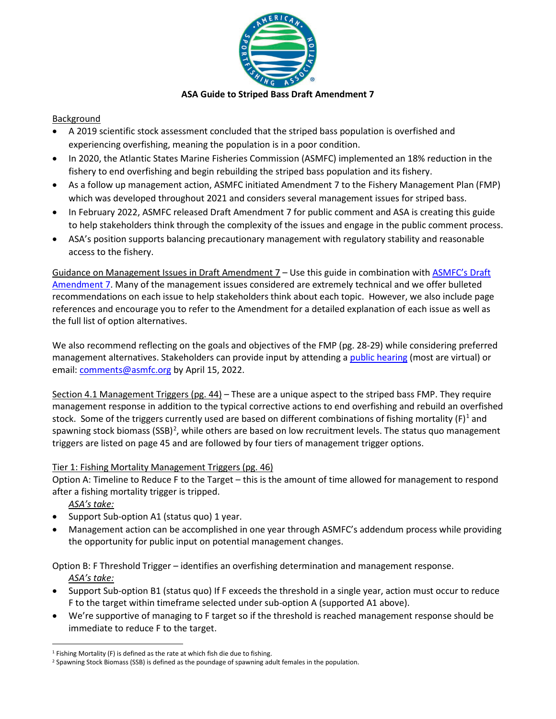

### **ASA Guide to Striped Bass Draft Amendment 7**

### **Background**

- A 2019 scientific stock assessment concluded that the striped bass population is overfished and experiencing overfishing, meaning the population is in a poor condition.
- In 2020, the Atlantic States Marine Fisheries Commission (ASMFC) implemented an 18% reduction in the fishery to end overfishing and begin rebuilding the striped bass population and its fishery.
- As a follow up management action, ASMFC initiated Amendment 7 to the Fishery Management Plan (FMP) which was developed throughout 2021 and considers several management issues for striped bass.
- In February 2022, ASMFC released Draft Amendment 7 for public comment and ASA is creating this guide to help stakeholders think through the complexity of the issues and engage in the public comment process.
- ASA's position supports balancing precautionary management with regulatory stability and reasonable access to the fishery.

Guidance on Management Issues in Draft Amendment 7 – Use this guide in combination with [ASMFC's](http://asmfc.org/uploads/file/61fd9572AtlStripedBassDraftAm7forPublicComment_Feb2022.pdf) Draft [Amendment 7.](http://asmfc.org/uploads/file/61fd9572AtlStripedBassDraftAm7forPublicComment_Feb2022.pdf) Many of the management issues considered are extremely technical and we offer bulleted recommendations on each issue to help stakeholders think about each topic. However, we also include page references and encourage you to refer to the Amendment for a detailed explanation of each issue as well as the full list of option alternatives.

We also recommend reflecting on the goals and objectives of the FMP (pg. 28-29) while considering preferred management alternatives. Stakeholders can provide input by attending [a public hearing](http://www.asmfc.org/uploads/file/621e9697pr05_StripedBassAm7PublicHearings_revised.pdf) (most are virtual) or email[: comments@asmfc.org](mailto:comments@asmfc.org) by April 15, 2022.

Section 4.1 Management Triggers (pg. 44) – These are a unique aspect to the striped bass FMP. They require management response in addition to the typical corrective actions to end overfishing and rebuild an overfished stock. Some of the triggers currently used are based on different combinations of fishing mortality  $(F)^1$  and spawning stock biomass (SSB)<sup>[2](#page-0-1)</sup>, while others are based on low recruitment levels. The status quo management triggers are listed on page 45 and are followed by four tiers of management trigger options.

## Tier 1: Fishing Mortality Management Triggers (pg. 46)

Option A: Timeline to Reduce F to the Target – this is the amount of time allowed for management to respond after a fishing mortality trigger is tripped.

*ASA's take:*

- Support Sub-option A1 (status quo) 1 year.
- Management action can be accomplished in one year through ASMFC's addendum process while providing the opportunity for public input on potential management changes.

Option B: F Threshold Trigger – identifies an overfishing determination and management response. *ASA's take:*

- Support Sub-option B1 (status quo) If F exceeds the threshold in a single year, action must occur to reduce F to the target within timeframe selected under sub-option A (supported A1 above).
- We're supportive of managing to F target so if the threshold is reached management response should be immediate to reduce F to the target.

<span id="page-0-0"></span><sup>1</sup> Fishing Mortality (F) is defined as the rate at which fish die due to fishing.

<span id="page-0-1"></span><sup>&</sup>lt;sup>2</sup> Spawning Stock Biomass (SSB) is defined as the poundage of spawning adult females in the population.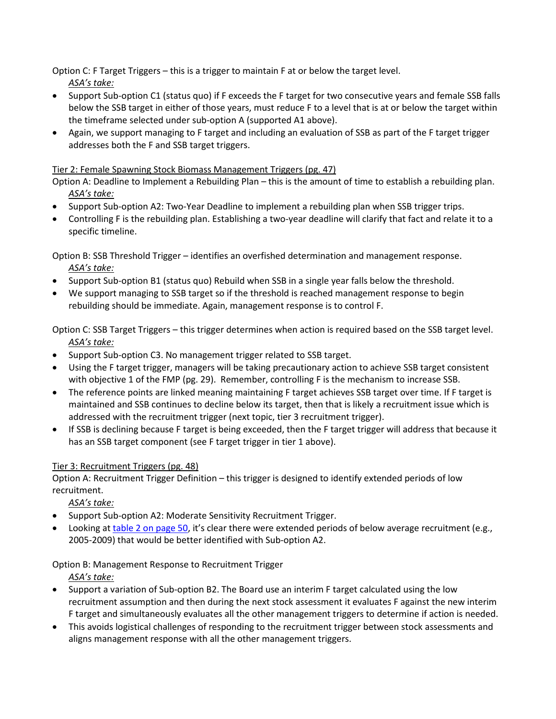Option C: F Target Triggers – this is a trigger to maintain F at or below the target level.

*ASA's take:*

- Support Sub-option C1 (status quo) if F exceeds the F target for two consecutive years and female SSB falls below the SSB target in either of those years, must reduce F to a level that is at or below the target within the timeframe selected under sub-option A (supported A1 above).
- Again, we support managing to F target and including an evaluation of SSB as part of the F target trigger addresses both the F and SSB target triggers.

## Tier 2: Female Spawning Stock Biomass Management Triggers (pg. 47)

Option A: Deadline to Implement a Rebuilding Plan – this is the amount of time to establish a rebuilding plan. *ASA's take:*

- Support Sub-option A2: Two-Year Deadline to implement a rebuilding plan when SSB trigger trips.
- Controlling F is the rebuilding plan. Establishing a two-year deadline will clarify that fact and relate it to a specific timeline.

Option B: SSB Threshold Trigger – identifies an overfished determination and management response. *ASA's take:*

- Support Sub-option B1 (status quo) Rebuild when SSB in a single year falls below the threshold.
- We support managing to SSB target so if the threshold is reached management response to begin rebuilding should be immediate. Again, management response is to control F.

Option C: SSB Target Triggers – this trigger determines when action is required based on the SSB target level. *ASA's take:*

- Support Sub-option C3. No management trigger related to SSB target.
- Using the F target trigger, managers will be taking precautionary action to achieve SSB target consistent with objective 1 of the FMP (pg. 29). Remember, controlling F is the mechanism to increase SSB.
- The reference points are linked meaning maintaining F target achieves SSB target over time. If F target is maintained and SSB continues to decline below its target, then that is likely a recruitment issue which is addressed with the recruitment trigger (next topic, tier 3 recruitment trigger).
- If SSB is declining because F target is being exceeded, then the F target trigger will address that because it has an SSB target component (see F target trigger in tier 1 above).

# Tier 3: Recruitment Triggers (pg. 48)

Option A: Recruitment Trigger Definition – this trigger is designed to identify extended periods of low recruitment.

*ASA's take:*

- Support Sub-option A2: Moderate Sensitivity Recruitment Trigger.
- Looking at [table 2 on page 50,](http://www.asmfc.org/uploads/file/61fd9572AtlStripedBassDraftAm7forPublicComment_Feb2022.pdf) it's clear there were extended periods of below average recruitment (e.g., 2005-2009) that would be better identified with Sub-option A2.

Option B: Management Response to Recruitment Trigger

*ASA's take:*

- Support a variation of Sub-option B2. The Board use an interim F target calculated using the low recruitment assumption and then during the next stock assessment it evaluates F against the new interim F target and simultaneously evaluates all the other management triggers to determine if action is needed.
- This avoids logistical challenges of responding to the recruitment trigger between stock assessments and aligns management response with all the other management triggers.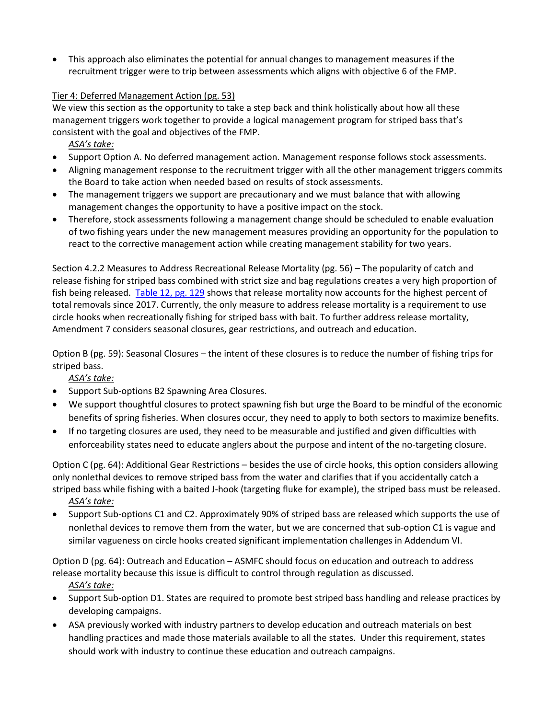• This approach also eliminates the potential for annual changes to management measures if the recruitment trigger were to trip between assessments which aligns with objective 6 of the FMP.

## Tier 4: Deferred Management Action (pg. 53)

We view this section as the opportunity to take a step back and think holistically about how all these management triggers work together to provide a logical management program for striped bass that's consistent with the goal and objectives of the FMP.

*ASA's take:*

- Support Option A. No deferred management action. Management response follows stock assessments.
- Aligning management response to the recruitment trigger with all the other management triggers commits the Board to take action when needed based on results of stock assessments.
- The management triggers we support are precautionary and we must balance that with allowing management changes the opportunity to have a positive impact on the stock.
- Therefore, stock assessments following a management change should be scheduled to enable evaluation of two fishing years under the new management measures providing an opportunity for the population to react to the corrective management action while creating management stability for two years.

Section 4.2.2 Measures to Address Recreational Release Mortality (pg. 56) – The popularity of catch and release fishing for striped bass combined with strict size and bag regulations creates a very high proportion of fish being released. [Table 12, pg. 129](http://www.asmfc.org/uploads/file/61fd9572AtlStripedBassDraftAm7forPublicComment_Feb2022.pdf) shows that release mortality now accounts for the highest percent of total removals since 2017. Currently, the only measure to address release mortality is a requirement to use circle hooks when recreationally fishing for striped bass with bait. To further address release mortality, Amendment 7 considers seasonal closures, gear restrictions, and outreach and education.

Option B (pg. 59): Seasonal Closures – the intent of these closures is to reduce the number of fishing trips for striped bass.

*ASA's take:*

- Support Sub-options B2 Spawning Area Closures.
- We support thoughtful closures to protect spawning fish but urge the Board to be mindful of the economic benefits of spring fisheries. When closures occur, they need to apply to both sectors to maximize benefits.
- If no targeting closures are used, they need to be measurable and justified and given difficulties with enforceability states need to educate anglers about the purpose and intent of the no-targeting closure.

Option C (pg. 64): Additional Gear Restrictions – besides the use of circle hooks, this option considers allowing only nonlethal devices to remove striped bass from the water and clarifies that if you accidentally catch a striped bass while fishing with a baited J-hook (targeting fluke for example), the striped bass must be released.

*ASA's take:*

• Support Sub-options C1 and C2. Approximately 90% of striped bass are released which supports the use of nonlethal devices to remove them from the water, but we are concerned that sub-option C1 is vague and similar vagueness on circle hooks created significant implementation challenges in Addendum VI.

Option D (pg. 64): Outreach and Education – ASMFC should focus on education and outreach to address release mortality because this issue is difficult to control through regulation as discussed.

## *ASA's take:*

- Support Sub-option D1. States are required to promote best striped bass handling and release practices by developing campaigns.
- ASA previously worked with industry partners to develop education and outreach materials on best handling practices and made those materials available to all the states. Under this requirement, states should work with industry to continue these education and outreach campaigns.